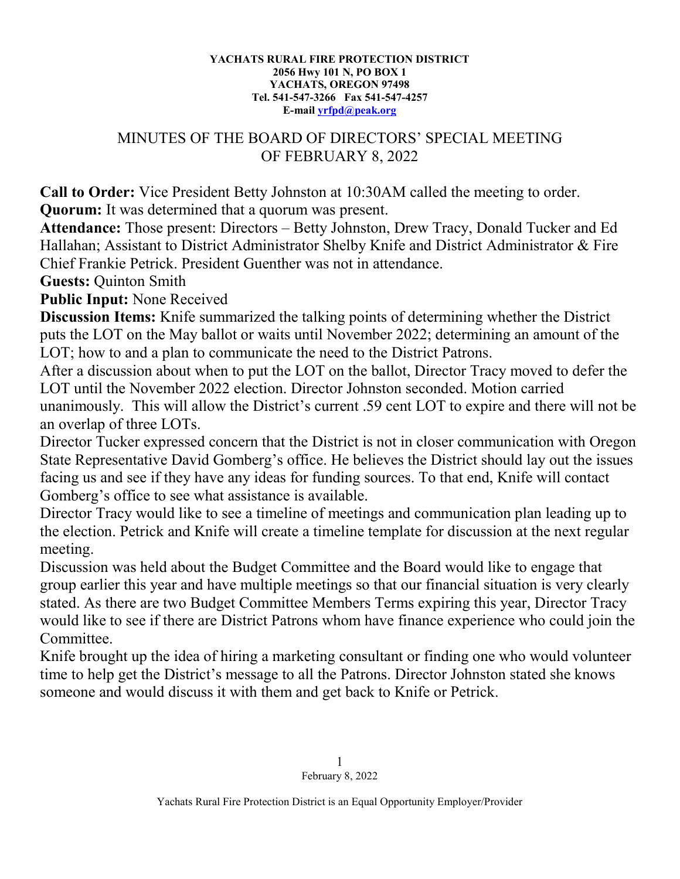## **YACHATS RURAL FIRE PROTECTION DISTRICT 2056 Hwy 101 N, PO BOX 1 YACHATS, OREGON 97498 Tel. 541-547-3266 Fax 541-547-4257 E-mail [yrfpd@peak.org](mailto:yrfpd@peak.org)**

## MINUTES OF THE BOARD OF DIRECTORS' SPECIAL MEETING OF FEBRUARY 8, 2022

**Call to Order:** Vice President Betty Johnston at 10:30AM called the meeting to order. **Quorum:** It was determined that a quorum was present.

**Attendance:** Those present: Directors – Betty Johnston, Drew Tracy, Donald Tucker and Ed Hallahan; Assistant to District Administrator Shelby Knife and District Administrator & Fire Chief Frankie Petrick. President Guenther was not in attendance.

**Guests:** Quinton Smith

**Public Input:** None Received

**Discussion Items:** Knife summarized the talking points of determining whether the District puts the LOT on the May ballot or waits until November 2022; determining an amount of the LOT; how to and a plan to communicate the need to the District Patrons.

After a discussion about when to put the LOT on the ballot, Director Tracy moved to defer the LOT until the November 2022 election. Director Johnston seconded. Motion carried unanimously. This will allow the District's current .59 cent LOT to expire and there will not be an overlap of three LOTs.

Director Tucker expressed concern that the District is not in closer communication with Oregon State Representative David Gomberg's office. He believes the District should lay out the issues facing us and see if they have any ideas for funding sources. To that end, Knife will contact Gomberg's office to see what assistance is available.

Director Tracy would like to see a timeline of meetings and communication plan leading up to the election. Petrick and Knife will create a timeline template for discussion at the next regular meeting.

Discussion was held about the Budget Committee and the Board would like to engage that group earlier this year and have multiple meetings so that our financial situation is very clearly stated. As there are two Budget Committee Members Terms expiring this year, Director Tracy would like to see if there are District Patrons whom have finance experience who could join the Committee.

Knife brought up the idea of hiring a marketing consultant or finding one who would volunteer time to help get the District's message to all the Patrons. Director Johnston stated she knows someone and would discuss it with them and get back to Knife or Petrick.